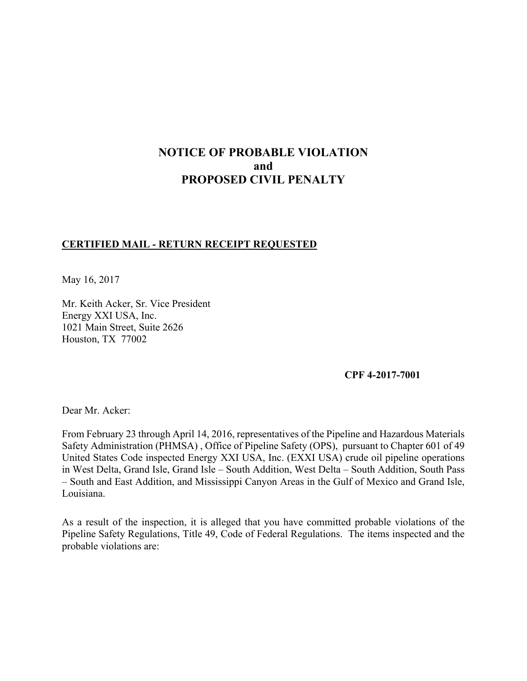# **NOTICE OF PROBABLE VIOLATION and PROPOSED CIVIL PENALTY**

## **CERTIFIED MAIL - RETURN RECEIPT REQUESTED**

May 16, 2017

Mr. Keith Acker, Sr. Vice President Energy XXI USA, Inc. 1021 Main Street, Suite 2626 Houston, TX 77002

**CPF 4-2017-7001** 

Dear Mr. Acker:

From February 23 through April 14, 2016, representatives of the Pipeline and Hazardous Materials Safety Administration (PHMSA) , Office of Pipeline Safety (OPS), pursuant to Chapter 601 of 49 United States Code inspected Energy XXI USA, Inc. (EXXI USA) crude oil pipeline operations in West Delta, Grand Isle, Grand Isle – South Addition, West Delta – South Addition, South Pass – South and East Addition, and Mississippi Canyon Areas in the Gulf of Mexico and Grand Isle, Louisiana.

As a result of the inspection, it is alleged that you have committed probable violations of the Pipeline Safety Regulations, Title 49, Code of Federal Regulations. The items inspected and the probable violations are: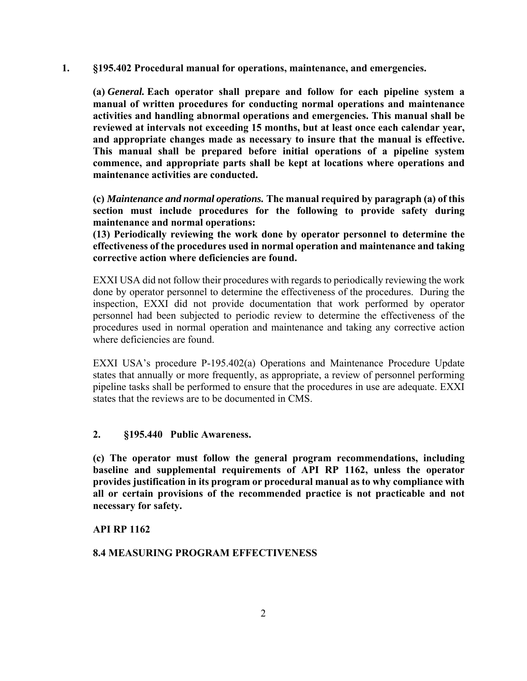**1. §195.402 Procedural manual for operations, maintenance, and emergencies.** 

**(a)** *General.* **Each operator shall prepare and follow for each pipeline system a manual of written procedures for conducting normal operations and maintenance activities and handling abnormal operations and emergencies. This manual shall be reviewed at intervals not exceeding 15 months, but at least once each calendar year, and appropriate changes made as necessary to insure that the manual is effective. This manual shall be prepared before initial operations of a pipeline system commence, and appropriate parts shall be kept at locations where operations and maintenance activities are conducted.** 

**(c)** *Maintenance and normal operations.* **The manual required by paragraph (a) of this section must include procedures for the following to provide safety during maintenance and normal operations:**

**(13) Periodically reviewing the work done by operator personnel to determine the effectiveness of the procedures used in normal operation and maintenance and taking corrective action where deficiencies are found.** 

EXXI USA did not follow their procedures with regards to periodically reviewing the work done by operator personnel to determine the effectiveness of the procedures. During the inspection, EXXI did not provide documentation that work performed by operator personnel had been subjected to periodic review to determine the effectiveness of the procedures used in normal operation and maintenance and taking any corrective action where deficiencies are found.

EXXI USA's procedure P-195.402(a) Operations and Maintenance Procedure Update states that annually or more frequently, as appropriate, a review of personnel performing pipeline tasks shall be performed to ensure that the procedures in use are adequate. EXXI states that the reviews are to be documented in CMS.

### **2. §195.440 Public Awareness.**

**(c) The operator must follow the general program recommendations, including baseline and supplemental requirements of API RP 1162, unless the operator provides justification in its program or procedural manual as to why compliance with all or certain provisions of the recommended practice is not practicable and not necessary for safety.** 

### **API RP 1162**

## **8.4 MEASURING PROGRAM EFFECTIVENESS**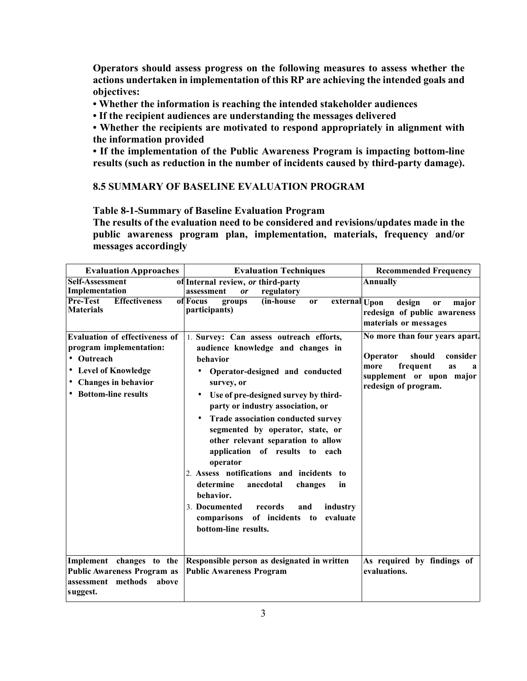**Operators should assess progress on the following measures to assess whether the actions undertaken in implementation of this RP are achieving the intended goals and objectives:** 

**• Whether the information is reaching the intended stakeholder audiences** 

**• If the recipient audiences are understanding the messages delivered** 

**• Whether the recipients are motivated to respond appropriately in alignment with the information provided** 

**• If the implementation of the Public Awareness Program is impacting bottom-line results (such as reduction in the number of incidents caused by third-party damage).** 

## **8.5 SUMMARY OF BASELINE EVALUATION PROGRAM**

**Table 8-1-Summary of Baseline Evaluation Program** 

**The results of the evaluation need to be considered and revisions/updates made in the public awareness program plan, implementation, materials, frequency and/or messages accordingly** 

| <b>Evaluation Approaches</b>                                                                                                                             | <b>Evaluation Techniques</b>                                                                                                                                                                                                                                                                                                                                                                                                                                                                                                                                                                                                    | <b>Recommended Frequency</b>                                                                                                                        |
|----------------------------------------------------------------------------------------------------------------------------------------------------------|---------------------------------------------------------------------------------------------------------------------------------------------------------------------------------------------------------------------------------------------------------------------------------------------------------------------------------------------------------------------------------------------------------------------------------------------------------------------------------------------------------------------------------------------------------------------------------------------------------------------------------|-----------------------------------------------------------------------------------------------------------------------------------------------------|
| <b>Self-Assessment</b><br>Implementation                                                                                                                 | of Internal review, or third-party<br>regulatory<br>assessment<br>or                                                                                                                                                                                                                                                                                                                                                                                                                                                                                                                                                            | <b>Annually</b>                                                                                                                                     |
| Pre-Test<br><b>Effectiveness</b><br><b>Materials</b>                                                                                                     | (in-house<br>of Focus<br>groups<br>external Upon<br>or<br>participants)                                                                                                                                                                                                                                                                                                                                                                                                                                                                                                                                                         | design<br>major<br><b>or</b><br>redesign of public awareness<br>materials or messages                                                               |
| <b>Evaluation of effectiveness of</b><br>program implementation:<br>• Outreach<br>• Level of Knowledge<br>• Changes in behavior<br>• Bottom-line results | 1. Survey: Can assess outreach efforts,<br>audience knowledge and changes in<br>behavior<br>Operator-designed and conducted<br>٠<br>survey, or<br>Use of pre-designed survey by third-<br>party or industry association, or<br>Trade association conducted survey<br>$\bullet$<br>segmented by operator, state, or<br>other relevant separation to allow<br>application of results to each<br>operator<br>2. Assess notifications and incidents to<br>determine<br>anecdotal<br>changes<br>in<br>behavior.<br>3. Documented<br>records<br>industry<br>and<br>of incidents to<br>comparisons<br>evaluate<br>bottom-line results. | No more than four years apart.<br>should<br>Operator<br>consider<br>more<br>frequent<br>as<br>a<br>supplement or upon major<br>redesign of program. |
| Implement changes to the<br><b>Public Awareness Program as</b><br>assessment methods<br>above<br>suggest.                                                | Responsible person as designated in written<br><b>Public Awareness Program</b>                                                                                                                                                                                                                                                                                                                                                                                                                                                                                                                                                  | As required by findings of<br>evaluations.                                                                                                          |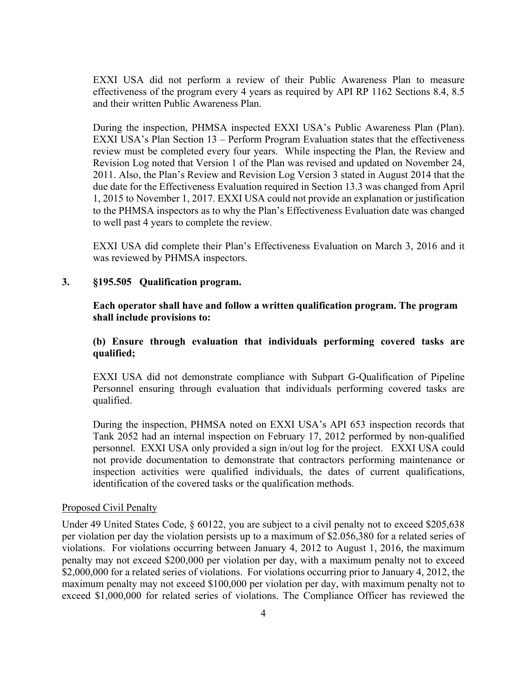EXXI USA did not perform a review of their Public Awareness Plan to measure effectiveness of the program every 4 years as required by API RP 1162 Sections 8.4, 8.5 and their written Public Awareness Plan.

During the inspection, PHMSA inspected EXXI USA's Public Awareness Plan (Plan). EXXI USA's Plan Section 13 – Perform Program Evaluation states that the effectiveness review must be completed every four years. While inspecting the Plan, the Review and Revision Log noted that Version 1 of the Plan was revised and updated on November 24, 2011. Also, the Plan's Review and Revision Log Version 3 stated in August 2014 that the due date for the Effectiveness Evaluation required in Section 13.3 was changed from April 1, 2015 to November 1, 2017. EXXI USA could not provide an explanation or justification to the PHMSA inspectors as to why the Plan's Effectiveness Evaluation date was changed to well past 4 years to complete the review.

EXXI USA did complete their Plan's Effectiveness Evaluation on March 3, 2016 and it was reviewed by PHMSA inspectors.

#### **3. §195.505 Qualification program.**

**Each operator shall have and follow a written qualification program. The program shall include provisions to:** 

## **(b) Ensure through evaluation that individuals performing covered tasks are qualified;**

EXXI USA did not demonstrate compliance with Subpart G-Qualification of Pipeline Personnel ensuring through evaluation that individuals performing covered tasks are qualified.

During the inspection, PHMSA noted on EXXI USA's API 653 inspection records that Tank 2052 had an internal inspection on February 17, 2012 performed by non-qualified personnel. EXXI USA only provided a sign in/out log for the project. EXXI USA could not provide documentation to demonstrate that contractors performing maintenance or inspection activities were qualified individuals, the dates of current qualifications, identification of the covered tasks or the qualification methods.

#### Proposed Civil Penalty

Under 49 United States Code, § 60122, you are subject to a civil penalty not to exceed \$205,638 per violation per day the violation persists up to a maximum of \$2.056,380 for a related series of violations. For violations occurring between January 4, 2012 to August 1, 2016, the maximum penalty may not exceed \$200,000 per violation per day, with a maximum penalty not to exceed \$2,000,000 for a related series of violations. For violations occurring prior to January 4, 2012, the maximum penalty may not exceed \$100,000 per violation per day, with maximum penalty not to exceed \$1,000,000 for related series of violations. The Compliance Officer has reviewed the